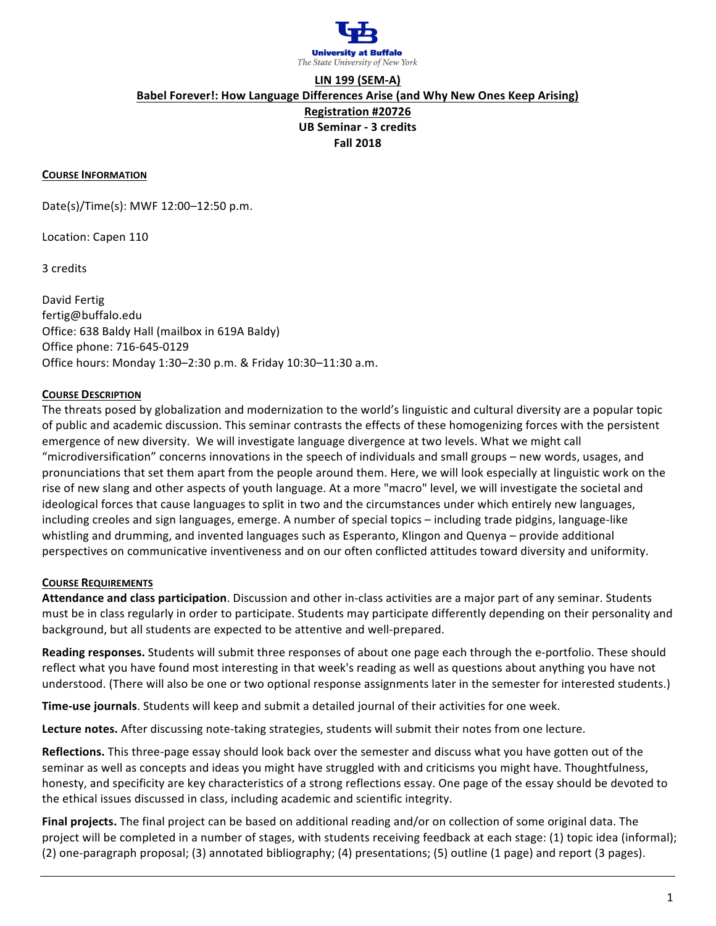

# **LIN 199 (SEM-A) Babel Forever!: How Language Differences Arise (and Why New Ones Keep Arising) Registration #20726 UB Seminar - 3 credits Fall 2018**

#### **COURSE INFORMATION**

Date(s)/Time(s): MWF 12:00-12:50 p.m.

Location: Capen 110

3 credits

David Fertig fertig@buffalo.edu Office: 638 Baldy Hall (mailbox in 619A Baldy) Office phone: 716-645-0129 Office hours: Monday 1:30-2:30 p.m. & Friday 10:30-11:30 a.m.

### **COURSE DESCRIPTION**

The threats posed by globalization and modernization to the world's linguistic and cultural diversity are a popular topic of public and academic discussion. This seminar contrasts the effects of these homogenizing forces with the persistent emergence of new diversity. We will investigate language divergence at two levels. What we might call "microdiversification" concerns innovations in the speech of individuals and small groups – new words, usages, and pronunciations that set them apart from the people around them. Here, we will look especially at linguistic work on the rise of new slang and other aspects of youth language. At a more "macro" level, we will investigate the societal and ideological forces that cause languages to split in two and the circumstances under which entirely new languages, including creoles and sign languages, emerge. A number of special topics – including trade pidgins, language-like whistling and drumming, and invented languages such as Esperanto, Klingon and Quenya – provide additional perspectives on communicative inventiveness and on our often conflicted attitudes toward diversity and uniformity.

#### **COURSE REQUIREMENTS**

Attendance and class participation. Discussion and other in-class activities are a major part of any seminar. Students must be in class regularly in order to participate. Students may participate differently depending on their personality and background, but all students are expected to be attentive and well-prepared.

Reading responses. Students will submit three responses of about one page each through the e-portfolio. These should reflect what you have found most interesting in that week's reading as well as questions about anything you have not understood. (There will also be one or two optional response assignments later in the semester for interested students.)

**Time-use journals**. Students will keep and submit a detailed journal of their activities for one week.

Lecture notes. After discussing note-taking strategies, students will submit their notes from one lecture.

**Reflections.** This three-page essay should look back over the semester and discuss what you have gotten out of the seminar as well as concepts and ideas you might have struggled with and criticisms you might have. Thoughtfulness, honesty, and specificity are key characteristics of a strong reflections essay. One page of the essay should be devoted to the ethical issues discussed in class, including academic and scientific integrity.

Final projects. The final project can be based on additional reading and/or on collection of some original data. The project will be completed in a number of stages, with students receiving feedback at each stage: (1) topic idea (informal); (2) one-paragraph proposal; (3) annotated bibliography; (4) presentations; (5) outline (1 page) and report (3 pages).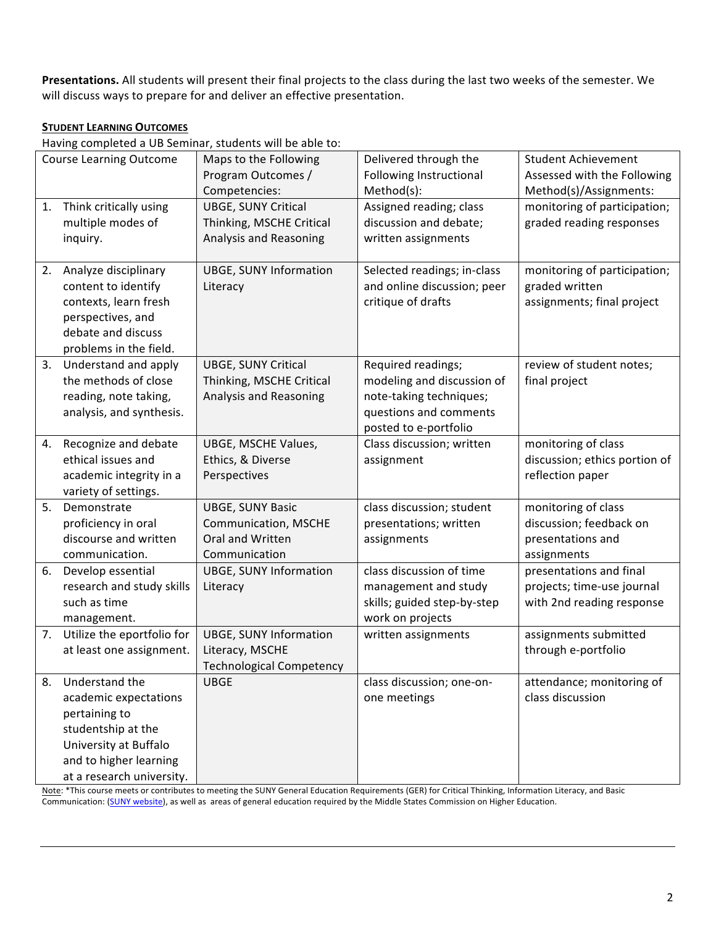Presentations. All students will present their final projects to the class during the last two weeks of the semester. We will discuss ways to prepare for and deliver an effective presentation.

## **STUDENT LEARNING OUTCOMES**

Having completed a UB Seminar, students will be able to:

| <b>Course Learning Outcome</b> |                            | Maps to the Following           | Delivered through the       | <b>Student Achievement</b>    |
|--------------------------------|----------------------------|---------------------------------|-----------------------------|-------------------------------|
|                                |                            | Program Outcomes /              | Following Instructional     | Assessed with the Following   |
|                                |                            | Competencies:                   | Method(s):                  | Method(s)/Assignments:        |
| 1.                             | Think critically using     | <b>UBGE, SUNY Critical</b>      | Assigned reading; class     | monitoring of participation;  |
|                                | multiple modes of          | Thinking, MSCHE Critical        | discussion and debate;      | graded reading responses      |
|                                | inquiry.                   | Analysis and Reasoning          | written assignments         |                               |
|                                |                            |                                 |                             |                               |
|                                | 2. Analyze disciplinary    | <b>UBGE, SUNY Information</b>   | Selected readings; in-class | monitoring of participation;  |
|                                | content to identify        | Literacy                        | and online discussion; peer | graded written                |
|                                | contexts, learn fresh      |                                 | critique of drafts          | assignments; final project    |
|                                | perspectives, and          |                                 |                             |                               |
|                                | debate and discuss         |                                 |                             |                               |
|                                | problems in the field.     |                                 |                             |                               |
| 3.                             | Understand and apply       | <b>UBGE, SUNY Critical</b>      | Required readings;          | review of student notes;      |
|                                | the methods of close       | Thinking, MSCHE Critical        | modeling and discussion of  | final project                 |
|                                | reading, note taking,      | Analysis and Reasoning          | note-taking techniques;     |                               |
|                                | analysis, and synthesis.   |                                 | questions and comments      |                               |
|                                |                            |                                 | posted to e-portfolio       |                               |
| 4.                             | Recognize and debate       | UBGE, MSCHE Values,             | Class discussion; written   | monitoring of class           |
|                                | ethical issues and         | Ethics, & Diverse               | assignment                  | discussion; ethics portion of |
|                                | academic integrity in a    | Perspectives                    |                             | reflection paper              |
|                                | variety of settings.       |                                 |                             |                               |
| 5.                             | Demonstrate                | <b>UBGE, SUNY Basic</b>         | class discussion; student   | monitoring of class           |
|                                | proficiency in oral        | <b>Communication, MSCHE</b>     | presentations; written      | discussion; feedback on       |
|                                | discourse and written      | Oral and Written                | assignments                 | presentations and             |
|                                | communication.             | Communication                   |                             | assignments                   |
| 6.                             | Develop essential          | <b>UBGE, SUNY Information</b>   | class discussion of time    | presentations and final       |
|                                | research and study skills  | Literacy                        | management and study        | projects; time-use journal    |
|                                | such as time               |                                 | skills; guided step-by-step | with 2nd reading response     |
|                                | management.                |                                 | work on projects            |                               |
| 7.                             | Utilize the eportfolio for | <b>UBGE, SUNY Information</b>   | written assignments         | assignments submitted         |
|                                | at least one assignment.   | Literacy, MSCHE                 |                             | through e-portfolio           |
|                                |                            | <b>Technological Competency</b> |                             |                               |
| 8.                             | Understand the             | <b>UBGE</b>                     | class discussion; one-on-   | attendance; monitoring of     |
|                                | academic expectations      |                                 | one meetings                | class discussion              |
|                                | pertaining to              |                                 |                             |                               |
|                                | studentship at the         |                                 |                             |                               |
|                                | University at Buffalo      |                                 |                             |                               |
|                                | and to higher learning     |                                 |                             |                               |
|                                | at a research university.  |                                 |                             |                               |

Note: \*This course meets or contributes to meeting the SUNY General Education Requirements (GER) for Critical Thinking, Information Literacy, and Basic Communication: (SUNY website), as well as areas of general education required by the Middle States Commission on Higher Education.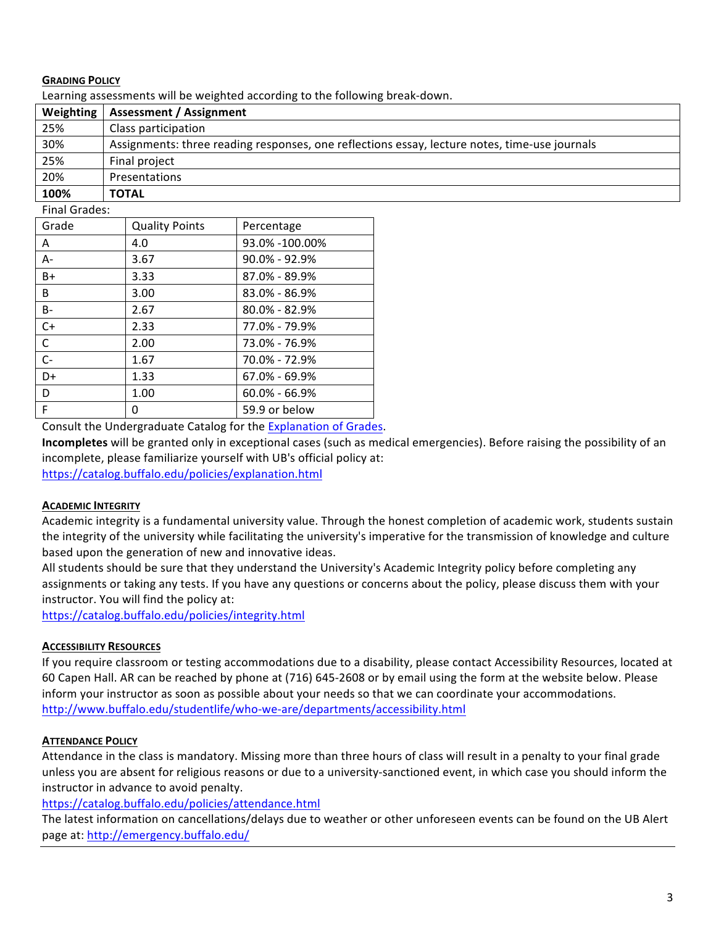## **GRADING POLICY**

Learning assessments will be weighted according to the following break-down.

| Weighting | <b>Assessment / Assignment</b>                                                                |
|-----------|-----------------------------------------------------------------------------------------------|
| 25%       | Class participation                                                                           |
| 30%       | Assignments: three reading responses, one reflections essay, lecture notes, time-use journals |
| 25%       | Final project                                                                                 |
| 20%       | Presentations                                                                                 |
| 100%      | <b>TOTAL</b>                                                                                  |

### Final Grades:

| Grade | <b>Quality Points</b> | Percentage        |
|-------|-----------------------|-------------------|
| A     | 4.0                   | 93.0% -100.00%    |
| $A -$ | 3.67                  | $90.0\% - 92.9\%$ |
| $B+$  | 3.33                  | 87.0% - 89.9%     |
| B     | 3.00                  | $83.0\% - 86.9\%$ |
| B-    | 2.67                  | $80.0\% - 82.9\%$ |
| $C+$  | 2.33                  | 77.0% - 79.9%     |
| C     | 2.00                  | 73.0% - 76.9%     |
| $C-$  | 1.67                  | 70.0% - 72.9%     |
| D+    | 1.33                  | $67.0\% - 69.9\%$ |
| D     | 1.00                  | $60.0\% - 66.9\%$ |
| F     | 0                     | 59.9 or below     |

Consult the Undergraduate Catalog for the Explanation of Grades.

**Incompletes** will be granted only in exceptional cases (such as medical emergencies). Before raising the possibility of an incomplete, please familiarize yourself with UB's official policy at:

https://catalog.buffalo.edu/policies/explanation.html

## **ACADEMIC INTEGRITY**

Academic integrity is a fundamental university value. Through the honest completion of academic work, students sustain the integrity of the university while facilitating the university's imperative for the transmission of knowledge and culture based upon the generation of new and innovative ideas.

All students should be sure that they understand the University's Academic Integrity policy before completing any assignments or taking any tests. If you have any questions or concerns about the policy, please discuss them with your instructor. You will find the policy at:

https://catalog.buffalo.edu/policies/integrity.html

## **ACCESSIBILITY RESOURCES**

If you require classroom or testing accommodations due to a disability, please contact Accessibility Resources, located at 60 Capen Hall. AR can be reached by phone at (716) 645-2608 or by email using the form at the website below. Please inform your instructor as soon as possible about your needs so that we can coordinate your accommodations. http://www.buffalo.edu/studentlife/who-we-are/departments/accessibility.html

## **ATTENDANCE POLICY**

Attendance in the class is mandatory. Missing more than three hours of class will result in a penalty to your final grade unless you are absent for religious reasons or due to a university-sanctioned event, in which case you should inform the instructor in advance to avoid penalty.

https://catalog.buffalo.edu/policies/attendance.html

The latest information on cancellations/delays due to weather or other unforeseen events can be found on the UB Alert page at: http://emergency.buffalo.edu/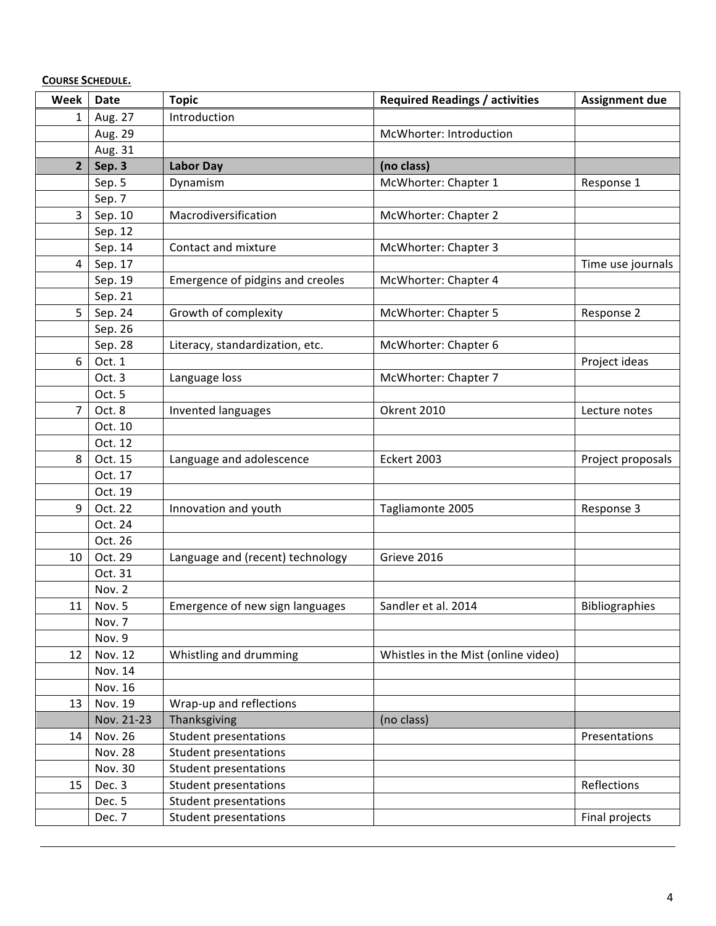| <b>COURSE SCHEDULE.</b> |
|-------------------------|
|-------------------------|

| Week           | <b>Date</b>    | <b>Topic</b>                     | <b>Required Readings / activities</b> | <b>Assignment due</b> |
|----------------|----------------|----------------------------------|---------------------------------------|-----------------------|
| $\mathbf 1$    | Aug. 27        | Introduction                     |                                       |                       |
|                | Aug. 29        |                                  | McWhorter: Introduction               |                       |
|                | Aug. 31        |                                  |                                       |                       |
| $\overline{2}$ | Sep. 3         | <b>Labor Day</b>                 | (no class)                            |                       |
|                | Sep. 5         | Dynamism                         | McWhorter: Chapter 1                  | Response 1            |
|                | Sep. 7         |                                  |                                       |                       |
| $\overline{3}$ | Sep. 10        | Macrodiversification             | McWhorter: Chapter 2                  |                       |
|                | Sep. 12        |                                  |                                       |                       |
|                | Sep. 14        | Contact and mixture              | McWhorter: Chapter 3                  |                       |
| 4              | Sep. 17        |                                  |                                       | Time use journals     |
|                | Sep. 19        | Emergence of pidgins and creoles | McWhorter: Chapter 4                  |                       |
|                | Sep. 21        |                                  |                                       |                       |
| 5              | Sep. 24        | Growth of complexity             | McWhorter: Chapter 5                  | Response 2            |
|                | Sep. 26        |                                  |                                       |                       |
|                | Sep. 28        | Literacy, standardization, etc.  | McWhorter: Chapter 6                  |                       |
| 6              | Oct. 1         |                                  |                                       | Project ideas         |
|                | Oct. 3         | Language loss                    | McWhorter: Chapter 7                  |                       |
|                | Oct. 5         |                                  |                                       |                       |
| $\overline{7}$ | Oct. 8         | Invented languages               | Okrent 2010                           | Lecture notes         |
|                | Oct. 10        |                                  |                                       |                       |
|                | Oct. 12        |                                  |                                       |                       |
| 8              | Oct. 15        | Language and adolescence         | <b>Eckert 2003</b>                    | Project proposals     |
|                | Oct. 17        |                                  |                                       |                       |
|                | Oct. 19        |                                  |                                       |                       |
| 9              | Oct. 22        | Innovation and youth             | Tagliamonte 2005                      | Response 3            |
|                | Oct. 24        |                                  |                                       |                       |
|                | Oct. 26        |                                  |                                       |                       |
| 10             | Oct. 29        | Language and (recent) technology | Grieve 2016                           |                       |
|                | Oct. 31        |                                  |                                       |                       |
|                | Nov. 2         |                                  |                                       |                       |
| 11             | Nov. 5         | Emergence of new sign languages  | Sandler et al. 2014                   | <b>Bibliographies</b> |
|                | Nov. 7         |                                  |                                       |                       |
|                | Nov. 9         |                                  |                                       |                       |
| 12             | Nov. 12        | Whistling and drumming           | Whistles in the Mist (online video)   |                       |
|                | Nov. 14        |                                  |                                       |                       |
|                | Nov. 16        |                                  |                                       |                       |
| 13             | Nov. 19        | Wrap-up and reflections          |                                       |                       |
|                | Nov. 21-23     | Thanksgiving                     | (no class)                            |                       |
| 14             | Nov. 26        | <b>Student presentations</b>     |                                       | Presentations         |
|                | <b>Nov. 28</b> | <b>Student presentations</b>     |                                       |                       |
|                | Nov. 30        | <b>Student presentations</b>     |                                       |                       |
| 15             | Dec. 3         | <b>Student presentations</b>     |                                       | Reflections           |
|                | Dec. 5         | <b>Student presentations</b>     |                                       |                       |
|                | Dec. 7         | Student presentations            |                                       | Final projects        |